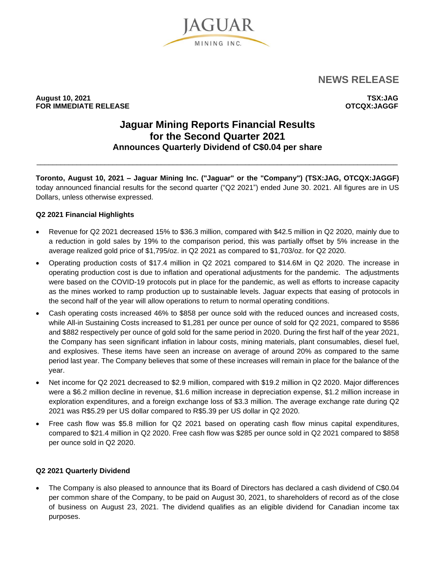**JAGUAR** MINING INC.

**NEWS RELEASE**

**August 10, 2021 TSX:JAG FOR IMMEDIATE RELEASE OTCQX:JAGGF**

# **Jaguar Mining Reports Financial Results for the Second Quarter 2021 Announces Quarterly Dividend of C\$0.04 per share**

**Toronto, August 10, 2021 – Jaguar Mining Inc. ("Jaguar" or the "Company") (TSX:JAG, OTCQX:JAGGF)** today announced financial results for the second quarter ("Q2 2021") ended June 30. 2021. All figures are in US Dollars, unless otherwise expressed.

\_\_\_\_\_\_\_\_\_\_\_\_\_\_\_\_\_\_\_\_\_\_\_\_\_\_\_\_\_\_\_\_\_\_\_\_\_\_\_\_\_\_\_\_\_\_\_\_\_\_\_\_\_\_\_\_\_\_\_\_\_\_\_\_\_\_\_\_\_\_\_\_\_\_\_\_\_\_\_\_\_\_\_\_\_\_\_\_\_\_

## **Q2 2021 Financial Highlights**

- Revenue for Q2 2021 decreased 15% to \$36.3 million, compared with \$42.5 million in Q2 2020, mainly due to a reduction in gold sales by 19% to the comparison period, this was partially offset by 5% increase in the average realized gold price of \$1,795/oz. in Q2 2021 as compared to \$1,703/oz. for Q2 2020.
- Operating production costs of \$17.4 million in Q2 2021 compared to \$14.6M in Q2 2020. The increase in operating production cost is due to inflation and operational adjustments for the pandemic. The adjustments were based on the COVID-19 protocols put in place for the pandemic, as well as efforts to increase capacity as the mines worked to ramp production up to sustainable levels. Jaguar expects that easing of protocols in the second half of the year will allow operations to return to normal operating conditions.
- Cash operating costs increased 46% to \$858 per ounce sold with the reduced ounces and increased costs, while All-in Sustaining Costs increased to \$1,281 per ounce per ounce of sold for Q2 2021, compared to \$586 and \$882 respectively per ounce of gold sold for the same period in 2020. During the first half of the year 2021, the Company has seen significant inflation in labour costs, mining materials, plant consumables, diesel fuel, and explosives. These items have seen an increase on average of around 20% as compared to the same period last year. The Company believes that some of these increases will remain in place for the balance of the year.
- Net income for Q2 2021 decreased to \$2.9 million, compared with \$19.2 million in Q2 2020. Major differences were a \$6.2 million decline in revenue, \$1.6 million increase in depreciation expense, \$1.2 million increase in exploration expenditures, and a foreign exchange loss of \$3.3 million. The average exchange rate during Q2 2021 was R\$5.29 per US dollar compared to R\$5.39 per US dollar in Q2 2020.
- Free cash flow was \$5.8 million for Q2 2021 based on operating cash flow minus capital expenditures, compared to \$21.4 million in Q2 2020. Free cash flow was \$285 per ounce sold in Q2 2021 compared to \$858 per ounce sold in Q2 2020.

## **Q2 2021 Quarterly Dividend**

• The Company is also pleased to announce that its Board of Directors has declared a cash dividend of C\$0.04 per common share of the Company, to be paid on August 30, 2021, to shareholders of record as of the close of business on August 23, 2021. The dividend qualifies as an eligible dividend for Canadian income tax purposes.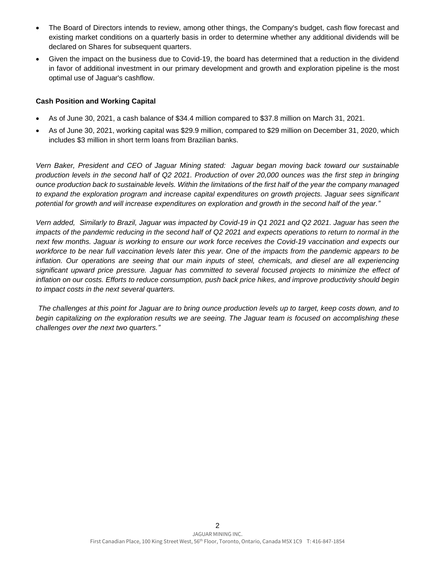- The Board of Directors intends to review, among other things, the Company's budget, cash flow forecast and existing market conditions on a quarterly basis in order to determine whether any additional dividends will be declared on Shares for subsequent quarters.
- Given the impact on the business due to Covid-19, the board has determined that a reduction in the dividend in favor of additional investment in our primary development and growth and exploration pipeline is the most optimal use of Jaguar's cashflow.

### **Cash Position and Working Capital**

- As of June 30, 2021, a cash balance of \$34.4 million compared to \$37.8 million on March 31, 2021.
- As of June 30, 2021, working capital was \$29.9 million, compared to \$29 million on December 31, 2020, which includes \$3 million in short term loans from Brazilian banks.

*Vern Baker, President and CEO of Jaguar Mining stated: Jaguar began moving back toward our sustainable* production levels in the second half of Q2 2021. Production of over 20,000 ounces was the first step in bringing ounce production back to sustainable levels. Within the limitations of the first half of the year the company managed *to expand the exploration program and increase capital expenditures on growth projects. Jaguar sees significant* potential for growth and will increase expenditures on exploration and growth in the second half of the year."

Vern added, Similarly to Brazil, Jaguar was impacted by Covid-19 in Q1 2021 and Q2 2021. Jaguar has seen the impacts of the pandemic reducing in the second half of Q2 2021 and expects operations to return to normal in the next few months. Jaguar is working to ensure our work force receives the Covid-19 vaccination and expects our workforce to be near full vaccination levels later this year. One of the impacts from the pandemic appears to be inflation. Our operations are seeing that our main inputs of steel, chemicals, and diesel are all experiencing *significant upward price pressure. Jaguar has committed to several focused projects to minimize the effect of* inflation on our costs. Efforts to reduce consumption, push back price hikes, and improve productivity should begin *to impact costs in the next several quarters.*

The challenges at this point for Jaguar are to bring ounce production levels up to target, keep costs down, and to begin capitalizing on the exploration results we are seeing. The Jaguar team is focused on accomplishing these *challenges over the next two quarters."*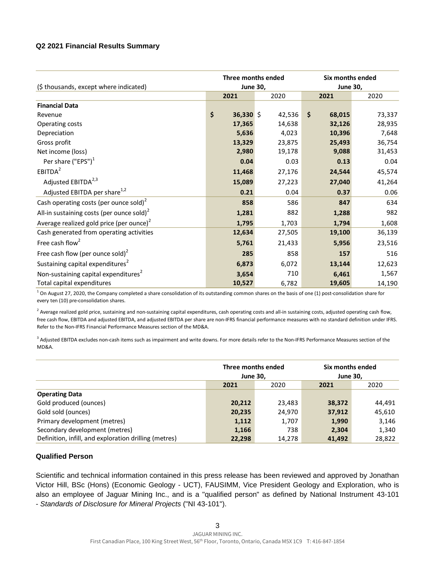#### **Q2 2021 Financial Results Summary**

| (\$ thousands, except where indicated)                | Three months ended<br><b>June 30,</b> |             |  |        | Six months ended<br><b>June 30,</b> |        |        |
|-------------------------------------------------------|---------------------------------------|-------------|--|--------|-------------------------------------|--------|--------|
|                                                       | 2021                                  |             |  | 2020   |                                     | 2021   | 2020   |
| <b>Financial Data</b>                                 |                                       |             |  |        |                                     |        |        |
| Revenue                                               | \$                                    | $36,330$ \$ |  | 42,536 | \$                                  | 68,015 | 73,337 |
| Operating costs                                       |                                       | 17,365      |  | 14,638 |                                     | 32,126 | 28,935 |
| Depreciation                                          |                                       | 5,636       |  | 4,023  |                                     | 10,396 | 7,648  |
| Gross profit                                          |                                       | 13,329      |  | 23,875 |                                     | 25,493 | 36,754 |
| Net income (loss)                                     |                                       | 2,980       |  | 19,178 |                                     | 9,088  | 31,453 |
| Per share ("EPS") <sup>1</sup>                        |                                       | 0.04        |  | 0.03   |                                     | 0.13   | 0.04   |
| EBITDA <sup>2</sup>                                   |                                       | 11,468      |  | 27,176 |                                     | 24,544 | 45,574 |
| Adjusted EBITDA <sup>2,3</sup>                        |                                       | 15,089      |  | 27,223 |                                     | 27,040 | 41,264 |
| Adjusted EBITDA per share <sup>1,2</sup>              |                                       | 0.21        |  | 0.04   |                                     | 0.37   | 0.06   |
| Cash operating costs (per ounce sold) <sup>2</sup>    |                                       | 858         |  | 586    |                                     | 847    | 634    |
| All-in sustaining costs (per ounce sold) <sup>2</sup> |                                       | 1,281       |  | 882    |                                     | 1,288  | 982    |
| Average realized gold price (per ounce) <sup>2</sup>  |                                       | 1,795       |  | 1,703  |                                     | 1,794  | 1,608  |
| Cash generated from operating activities              |                                       | 12,634      |  | 27,505 |                                     | 19,100 | 36,139 |
| Free cash flow <sup>2</sup>                           |                                       | 5,761       |  | 21,433 |                                     | 5,956  | 23,516 |
| Free cash flow (per ounce sold) <sup>2</sup>          |                                       | 285         |  | 858    |                                     | 157    | 516    |
| Sustaining capital expenditures <sup>2</sup>          |                                       | 6,873       |  | 6,072  |                                     | 13,144 | 12,623 |
| Non-sustaining capital expenditures <sup>2</sup>      |                                       | 3,654       |  | 710    |                                     | 6,461  | 1,567  |
| Total capital expenditures                            |                                       | 10,527      |  | 6,782  |                                     | 19,605 | 14,190 |

 $^1$  On August 27, 2020, the Company completed a share consolidation of its outstanding common shares on the basis of one (1) post-consolidation share for every ten (10) pre-consolidation shares.

<sup>2</sup> Average realized gold price, sustaining and non-sustaining capital expenditures, cash operating costs and all-in sustaining costs, adjusted operating cash flow, free cash flow, EBITDA and adjusted EBITDA, and adjusted EBITDA per share are non-IFRS financial performance measures with no standard definition under IFRS. Refer to the Non-IFRS Financial Performance Measures section of the MD&A.

<sup>3</sup> Adjusted EBITDA excludes non-cash items such as impairment and write downs. For more details refer to the Non-IFRS Performance Measures section of the MD&A.

|                                                       | Three months ended |        | Six months ended<br><b>June 30,</b> |        |  |
|-------------------------------------------------------|--------------------|--------|-------------------------------------|--------|--|
|                                                       | <b>June 30,</b>    |        |                                     |        |  |
|                                                       | 2021               | 2020   | 2021                                | 2020   |  |
| <b>Operating Data</b>                                 |                    |        |                                     |        |  |
| Gold produced (ounces)                                | 20,212             | 23,483 | 38,372                              | 44,491 |  |
| Gold sold (ounces)                                    | 20,235             | 24,970 | 37,912                              | 45,610 |  |
| Primary development (metres)                          | 1,112              | 1,707  | 1,990                               | 3,146  |  |
| Secondary development (metres)                        | 1,166              | 738    | 2,304                               | 1,340  |  |
| Definition, infill, and exploration drilling (metres) | 22,298             | 14,278 | 41,492                              | 28,822 |  |

#### **Qualified Person**

Scientific and technical information contained in this press release has been reviewed and approved by Jonathan Victor Hill, BSc (Hons) (Economic Geology - UCT), FAUSIMM, Vice President Geology and Exploration, who is also an employee of Jaguar Mining Inc., and is a "qualified person" as defined by National Instrument 43-101 - *Standards of Disclosure for Mineral Projects* ("NI 43-101").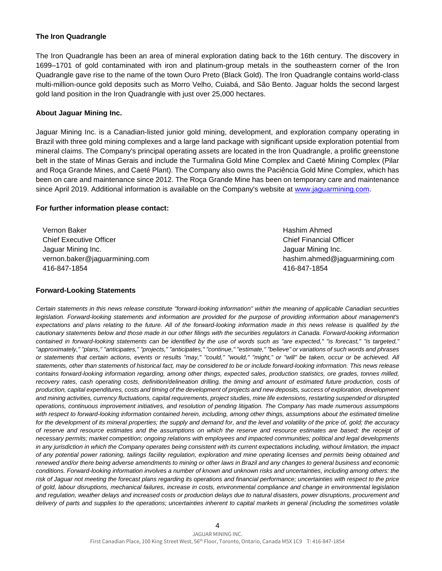#### **The Iron Quadrangle**

The Iron Quadrangle has been an area of mineral exploration dating back to the 16th century. The discovery in 1699–1701 of gold contaminated with iron and platinum-group metals in the southeastern corner of the Iron Quadrangle gave rise to the name of the town Ouro Preto (Black Gold). The Iron Quadrangle contains world-class multi-million-ounce gold deposits such as Morro Velho, Cuiabá, and São Bento. Jaguar holds the second largest gold land position in the Iron Quadrangle with just over 25,000 hectares.

#### **About Jaguar Mining Inc.**

Jaguar Mining Inc. is a Canadian-listed junior gold mining, development, and exploration company operating in Brazil with three gold mining complexes and a large land package with significant upside exploration potential from mineral claims. The Company's principal operating assets are located in the Iron Quadrangle, a prolific greenstone belt in the state of Minas Gerais and include the Turmalina Gold Mine Complex and Caeté Mining Complex (Pilar and Roça Grande Mines, and Caeté Plant). The Company also owns the Paciência Gold Mine Complex, which has been on care and maintenance since 2012. The Roça Grande Mine has been on temporary care and maintenance since April 2019. Additional information is available on the Company's website at [www.jaguarmining.com.](http://www.jaguarmining.com/)

#### **For further information please contact:**

Vernon Baker Chief Executive Officer Jaguar Mining Inc. vernon.baker@jaguarmining.com 416-847-1854 Hashim Ahmed Chief Financial Officer Jaguar Mining Inc. hashim.ahmed@jaguarmining.com 416-847-1854

#### **Forward-Looking Statements**

Certain statements in this news release constitute "forward-looking information" within the meaning of applicable Canadian securities legislation. Forward-looking statements and information are provided for the purpose of providing information about management's expectations and plans relating to the future. All of the forward-looking information made in this news release is qualified by the cautionary statements below and those made in our other filings with the securities regulators in Canada. Forward-looking information contained in forward-looking statements can be identified by the use of words such as "are expected," "is forecast," "is targeted," "approximately," "plans," "anticipates," "projects," "anticipates," "continue," "estimate," "believe" or variations of such words and phrases or statements that certain actions, events or results "may," "could," "would," "might," or "will" be taken, occur or be achieved. All statements, other than statements of historical fact, may be considered to be or include forward-looking information. This news release contains forward-looking information regarding, among other things, expected sales, production statistics, ore grades, tonnes milled, recovery rates, cash operating costs, definition/delineation drilling, the timing and amount of estimated future production, costs of production, capital expenditures, costs and timing of the development of projects and new deposits, success of exploration, development and mining activities, currency fluctuations, capital requirements, project studies, mine life extensions, restarting suspended or disrupted operations, continuous improvement initiatives, and resolution of pending litigation. The Company has made numerous assumptions with respect to forward-looking information contained herein, including, among other things, assumptions about the estimated timeline for the development of its mineral properties; the supply and demand for, and the level and volatility of the price of, gold; the accuracy of reserve and resource estimates and the assumptions on which the reserve and resource estimates are based; the receipt of necessary permits; market competition; ongoing relations with employees and impacted communities; political and legal developments in any jurisdiction in which the Company operates being consistent with its current expectations including, without limitation, the impact of any potential power rationing, tailings facility regulation, exploration and mine operating licenses and permits being obtained and renewed and/or there being adverse amendments to mining or other laws in Brazil and any changes to general business and economic conditions. Forward-looking information involves a number of known and unknown risks and uncertainties, including among others: the risk of Jaguar not meeting the forecast plans regarding its operations and financial performance; uncertainties with respect to the price of gold, labour disruptions, mechanical failures, increase in costs, environmental compliance and change in environmental legislation and regulation, weather delays and increased costs or production delays due to natural disasters, power disruptions, procurement and delivery of parts and supplies to the operations; uncertainties inherent to capital markets in general (including the sometimes volatile